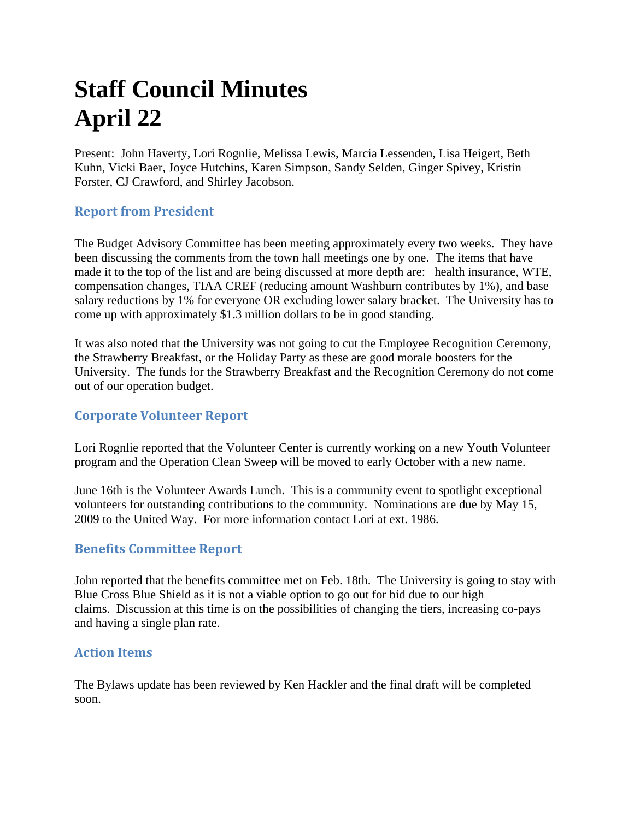# **Staff Council Minutes April 22**

Present: John Haverty, Lori Rognlie, Melissa Lewis, Marcia Lessenden, Lisa Heigert, Beth Kuhn, Vicki Baer, Joyce Hutchins, Karen Simpson, Sandy Selden, Ginger Spivey, Kristin Forster, CJ Crawford, and Shirley Jacobson.

## **Report from President**

The Budget Advisory Committee has been meeting approximately every two weeks. They have been discussing the comments from the town hall meetings one by one. The items that have made it to the top of the list and are being discussed at more depth are: health insurance, WTE, compensation changes, TIAA CREF (reducing amount Washburn contributes by 1%), and base salary reductions by 1% for everyone OR excluding lower salary bracket. The University has to come up with approximately \$1.3 million dollars to be in good standing.

It was also noted that the University was not going to cut the Employee Recognition Ceremony, the Strawberry Breakfast, or the Holiday Party as these are good morale boosters for the University. The funds for the Strawberry Breakfast and the Recognition Ceremony do not come out of our operation budget.

## **Corporate Volunteer Report**

Lori Rognlie reported that the Volunteer Center is currently working on a new Youth Volunteer program and the Operation Clean Sweep will be moved to early October with a new name.

June 16th is the Volunteer Awards Lunch. This is a community event to spotlight exceptional volunteers for outstanding contributions to the community. Nominations are due by May 15, 2009 to the United Way. For more information contact Lori at ext. 1986.

## **Benefits Committee Report**

John reported that the benefits committee met on Feb. 18th. The University is going to stay with Blue Cross Blue Shield as it is not a viable option to go out for bid due to our high claims. Discussion at this time is on the possibilities of changing the tiers, increasing co-pays and having a single plan rate.

#### **Action Items**

The Bylaws update has been reviewed by Ken Hackler and the final draft will be completed soon.